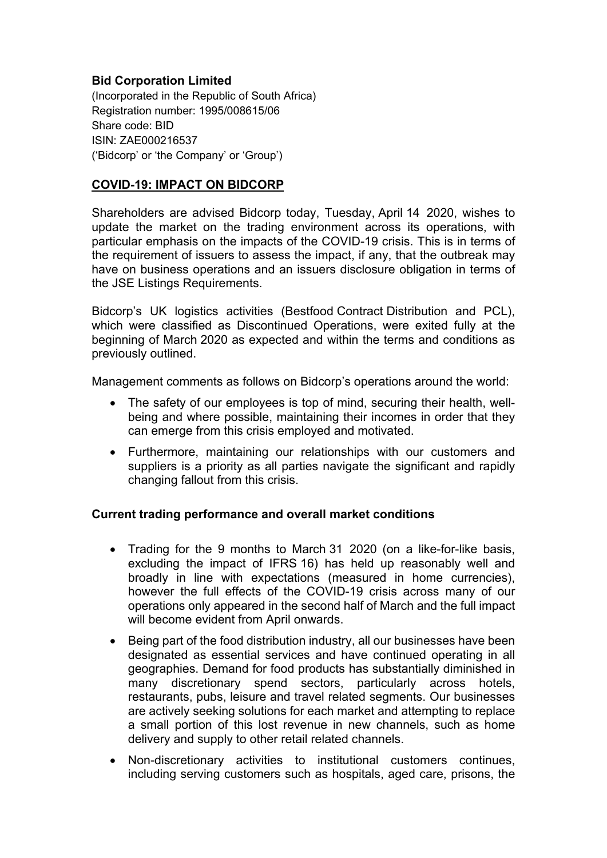# **Bid Corporation Limited**

(Incorporated in the Republic of South Africa) Registration number: 1995/008615/06 Share code: BID ISIN: ZAE000216537 ('Bidcorp' or 'the Company' or 'Group')

# **COVID-19: IMPACT ON BIDCORP**

Shareholders are advised Bidcorp today, Tuesday, April 14 2020, wishes to update the market on the trading environment across its operations, with particular emphasis on the impacts of the COVID-19 crisis. This is in terms of the requirement of issuers to assess the impact, if any, that the outbreak may have on business operations and an issuers disclosure obligation in terms of the JSE Listings Requirements.

Bidcorp's UK logistics activities (Bestfood Contract Distribution and PCL), which were classified as Discontinued Operations, were exited fully at the beginning of March 2020 as expected and within the terms and conditions as previously outlined.

Management comments as follows on Bidcorp's operations around the world:

- The safety of our employees is top of mind, securing their health, wellbeing and where possible, maintaining their incomes in order that they can emerge from this crisis employed and motivated.
- Furthermore, maintaining our relationships with our customers and suppliers is a priority as all parties navigate the significant and rapidly changing fallout from this crisis.

## **Current trading performance and overall market conditions**

- Trading for the 9 months to March 31 2020 (on a like-for-like basis, excluding the impact of IFRS 16) has held up reasonably well and broadly in line with expectations (measured in home currencies), however the full effects of the COVID-19 crisis across many of our operations only appeared in the second half of March and the full impact will become evident from April onwards.
- Being part of the food distribution industry, all our businesses have been designated as essential services and have continued operating in all geographies. Demand for food products has substantially diminished in many discretionary spend sectors, particularly across hotels, restaurants, pubs, leisure and travel related segments. Our businesses are actively seeking solutions for each market and attempting to replace a small portion of this lost revenue in new channels, such as home delivery and supply to other retail related channels.
- Non-discretionary activities to institutional customers continues, including serving customers such as hospitals, aged care, prisons, the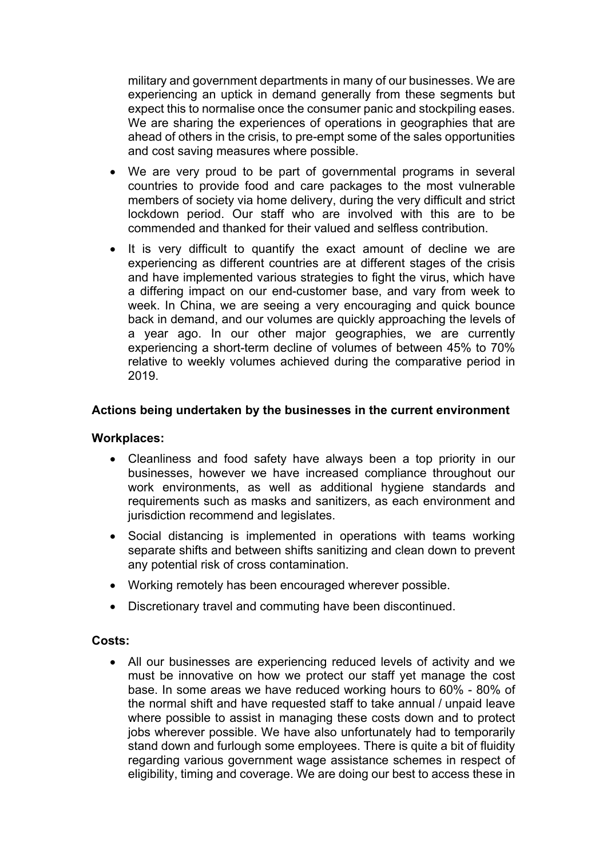military and government departments in many of our businesses. We are experiencing an uptick in demand generally from these segments but expect this to normalise once the consumer panic and stockpiling eases. We are sharing the experiences of operations in geographies that are ahead of others in the crisis, to pre-empt some of the sales opportunities and cost saving measures where possible.

- We are very proud to be part of governmental programs in several countries to provide food and care packages to the most vulnerable members of society via home delivery, during the very difficult and strict lockdown period. Our staff who are involved with this are to be commended and thanked for their valued and selfless contribution.
- It is very difficult to quantify the exact amount of decline we are experiencing as different countries are at different stages of the crisis and have implemented various strategies to fight the virus, which have a differing impact on our end-customer base, and vary from week to week. In China, we are seeing a very encouraging and quick bounce back in demand, and our volumes are quickly approaching the levels of a year ago. In our other major geographies, we are currently experiencing a short-term decline of volumes of between 45% to 70% relative to weekly volumes achieved during the comparative period in 2019.

## **Actions being undertaken by the businesses in the current environment**

## **Workplaces:**

- Cleanliness and food safety have always been a top priority in our businesses, however we have increased compliance throughout our work environments, as well as additional hygiene standards and requirements such as masks and sanitizers, as each environment and jurisdiction recommend and legislates.
- Social distancing is implemented in operations with teams working separate shifts and between shifts sanitizing and clean down to prevent any potential risk of cross contamination.
- Working remotely has been encouraged wherever possible.
- Discretionary travel and commuting have been discontinued.

#### **Costs:**

 All our businesses are experiencing reduced levels of activity and we must be innovative on how we protect our staff yet manage the cost base. In some areas we have reduced working hours to 60% - 80% of the normal shift and have requested staff to take annual / unpaid leave where possible to assist in managing these costs down and to protect jobs wherever possible. We have also unfortunately had to temporarily stand down and furlough some employees. There is quite a bit of fluidity regarding various government wage assistance schemes in respect of eligibility, timing and coverage. We are doing our best to access these in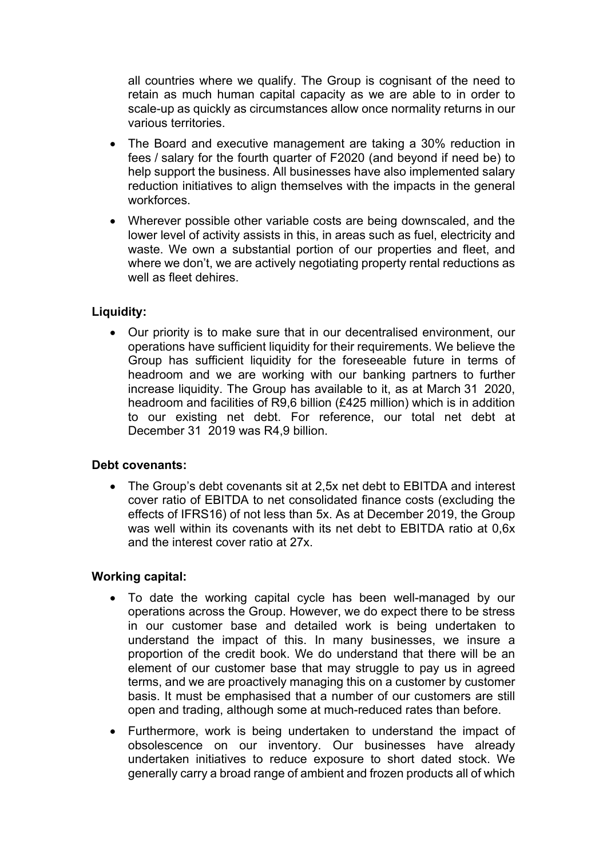all countries where we qualify. The Group is cognisant of the need to retain as much human capital capacity as we are able to in order to scale-up as quickly as circumstances allow once normality returns in our various territories.

- The Board and executive management are taking a 30% reduction in fees / salary for the fourth quarter of F2020 (and beyond if need be) to help support the business. All businesses have also implemented salary reduction initiatives to align themselves with the impacts in the general workforces.
- Wherever possible other variable costs are being downscaled, and the lower level of activity assists in this, in areas such as fuel, electricity and waste. We own a substantial portion of our properties and fleet, and where we don't, we are actively negotiating property rental reductions as well as fleet dehires.

## **Liquidity:**

 Our priority is to make sure that in our decentralised environment, our operations have sufficient liquidity for their requirements. We believe the Group has sufficient liquidity for the foreseeable future in terms of headroom and we are working with our banking partners to further increase liquidity. The Group has available to it, as at March 31 2020, headroom and facilities of R9,6 billion (£425 million) which is in addition to our existing net debt. For reference, our total net debt at December 31 2019 was R4,9 billion.

## **Debt covenants:**

 The Group's debt covenants sit at 2,5x net debt to EBITDA and interest cover ratio of EBITDA to net consolidated finance costs (excluding the effects of IFRS16) of not less than 5x. As at December 2019, the Group was well within its covenants with its net debt to EBITDA ratio at 0,6x and the interest cover ratio at 27x.

## **Working capital:**

- To date the working capital cycle has been well-managed by our operations across the Group. However, we do expect there to be stress in our customer base and detailed work is being undertaken to understand the impact of this. In many businesses, we insure a proportion of the credit book. We do understand that there will be an element of our customer base that may struggle to pay us in agreed terms, and we are proactively managing this on a customer by customer basis. It must be emphasised that a number of our customers are still open and trading, although some at much-reduced rates than before.
- Furthermore, work is being undertaken to understand the impact of obsolescence on our inventory. Our businesses have already undertaken initiatives to reduce exposure to short dated stock. We generally carry a broad range of ambient and frozen products all of which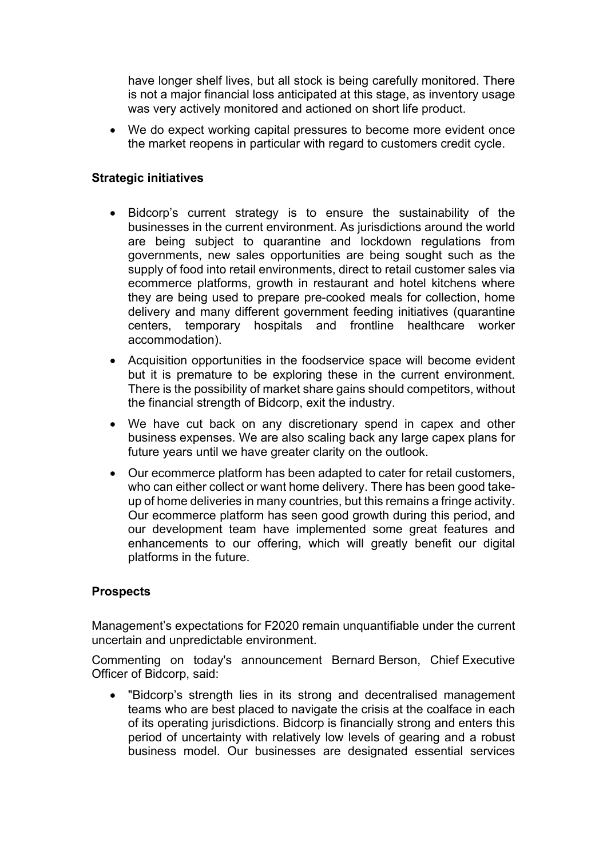have longer shelf lives, but all stock is being carefully monitored. There is not a major financial loss anticipated at this stage, as inventory usage was very actively monitored and actioned on short life product.

 We do expect working capital pressures to become more evident once the market reopens in particular with regard to customers credit cycle.

## **Strategic initiatives**

- Bidcorp's current strategy is to ensure the sustainability of the businesses in the current environment. As jurisdictions around the world are being subject to quarantine and lockdown regulations from governments, new sales opportunities are being sought such as the supply of food into retail environments, direct to retail customer sales via ecommerce platforms, growth in restaurant and hotel kitchens where they are being used to prepare pre-cooked meals for collection, home delivery and many different government feeding initiatives (quarantine centers, temporary hospitals and frontline healthcare worker accommodation).
- Acquisition opportunities in the foodservice space will become evident but it is premature to be exploring these in the current environment. There is the possibility of market share gains should competitors, without the financial strength of Bidcorp, exit the industry.
- We have cut back on any discretionary spend in capex and other business expenses. We are also scaling back any large capex plans for future years until we have greater clarity on the outlook.
- Our ecommerce platform has been adapted to cater for retail customers, who can either collect or want home delivery. There has been good takeup of home deliveries in many countries, but this remains a fringe activity. Our ecommerce platform has seen good growth during this period, and our development team have implemented some great features and enhancements to our offering, which will greatly benefit our digital platforms in the future.

## **Prospects**

Management's expectations for F2020 remain unquantifiable under the current uncertain and unpredictable environment.

Commenting on today's announcement Bernard Berson, Chief Executive Officer of Bidcorp, said:

 "Bidcorp's strength lies in its strong and decentralised management teams who are best placed to navigate the crisis at the coalface in each of its operating jurisdictions. Bidcorp is financially strong and enters this period of uncertainty with relatively low levels of gearing and a robust business model. Our businesses are designated essential services